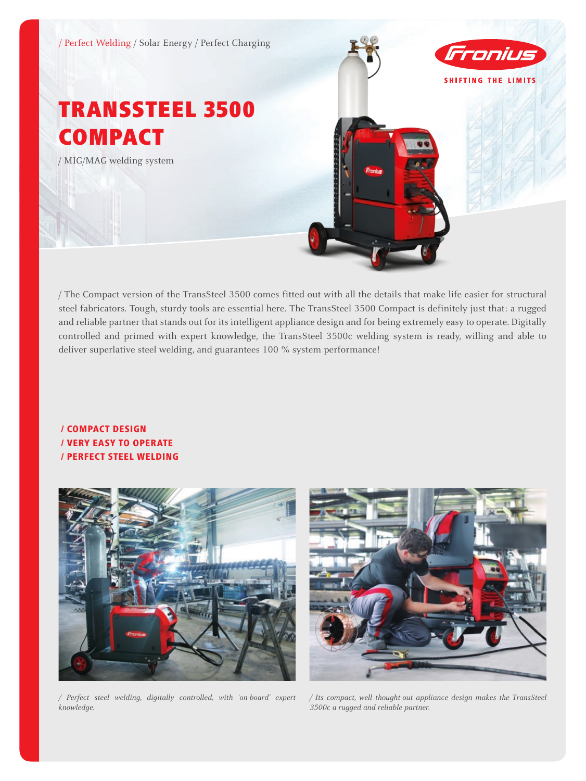

/ The Compact version of the TransSteel 3500 comes fitted out with all the details that make life easier for structural steel fabricators. Tough, sturdy tools are essential here. The TransSteel 3500 Compact is definitely just that: a rugged and reliable partner that stands out for its intelligent appliance design and for being extremely easy to operate. Digitally controlled and primed with expert knowledge, the TransSteel 3500c welding system is ready, willing and able to deliver superlative steel welding, and guarantees 100 % system performance!

# / Compact design / Very easy to operate / Perfect steel welding





*/ Perfect steel welding, digitally controlled, with 'on-board' expert knowledge.*

*/ Its compact, well thought-out appliance design makes the TransSteel 3500c a rugged and reliable partner.*